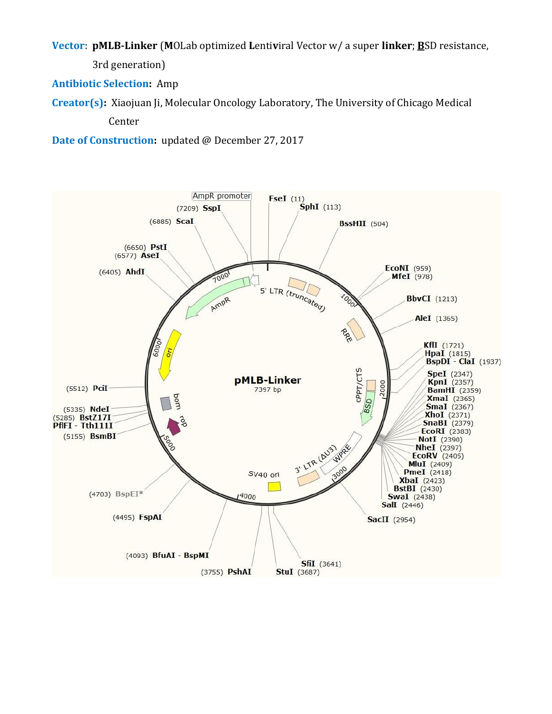**Vector**: **pMLB-Linker** (**M**OLab optimized **L**enti**v**iral Vector w/ a super **linker**; **B**SD resistance,

3rd generation)

**Antibiotic Selection:** Amp

**Creator(s):** Xiaojuan Ji, Molecular Oncology Laboratory, The University of Chicago Medical

Center

**Date of Construction:** updated @ December 27, 2017

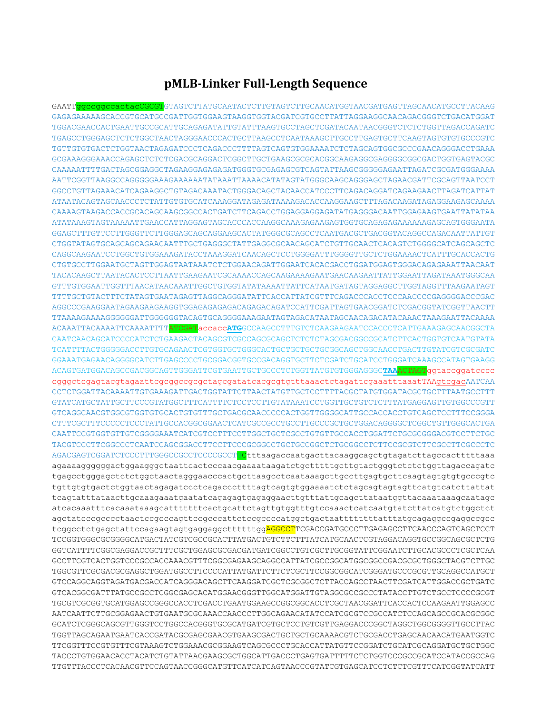## **pMLB-Linker Full-Length Sequence**

GAATTggccggccactacCGCGTGTAGTCTTATGCAATACTCTTGTAGTCTTGCAACATGGTAACGATGAGTTAGCAACATGCCTTACAAG GAGAGAAAAAGCACCGTGCATGCCGATTGGTGGAAGTAAGGTGGTACGATCGTGCCTTATTAGGAAGGCAACAGACGGGTCTGACATGGAT TGGACGAACCACTGAATTGCCGCATTGCAGAGATATTGTATTTAAGTGCCTAGCTCGATACAATAACGGGTCTCTCTGGTTAGACCAGATC TGAGCCTGGGAGCTCTCTGGCTAACTAGGGAACCCACTGCTTAAGCCTCAATAAAGCTTGCCTTGAGTGCTTCAAGTAGTGTGTGCCCGTC TGTTGTGTGACTCTGGTAACTAGAGATCCCTCAGACCCTTTTAGTCAGTGTGGAAAATCTCTAGCAGTGGCGCCCGAACAGGGACCTGAAA GCGAAAGGGAAACCAGAGCTCTCTCGACGCAGGACTCGGCTTGCTGAAGCGCGCACGGCAAGAGGCGAGGGGCGGCGACTGGTGAGTACGC CAAAAATTTTGACTAGCGGAGGCTAGAAGGAGAGAGATGGGTGCGAGAGCGTCAGTATTAAGCGGGGGAGAATTAGATCGCGATGGGAAAA AATTCGGTTAAGGCCAGGGGGAAAGAAAAAATATAAATTAAAACATATAGTATGGGCAAGCAGGGAGCTAGAACGATTCGCAGTTAATCCT GGCCTGTTAGAAACATCAGAAGGCTGTAGACAAATACTGGGACAGCTACAACCATCCCTTCAGACAGGATCAGAAGAACTTAGATCATTAT ATAATACAGTAGCAACCCTCTATTGTGTGCATCAAAGGATAGAGATAAAAGACACCAAGGAAGCTTTAGACAAGATAGAGGAAGAGCAAAA CAAAAGTAAGACCACCGCACAGCAAGCGGCCACTGATCTTCAGACCTGGAGGAGGAGATATGAGGGACAATTGGAGAAGTGAATTATATAA ATATAAAGTAGTAAAAATTGAACCATTAGGAGTAGCACCCACCAAGGCAAAGAGAAGAGTGGTGCAGAGAGAAAAAAGAGCAGTGGGAATA GGAGCTTTGTTCCTTGGGTTCTTGGGAGCAGCAGGAAGCACTATGGGCGCAGCCTCAATGACGCTGACGGTACAGGCCAGACAATTATTGT CTGGTATAGTGCAGCAGCAGAACAATTTGCTGAGGGCTATTGAGGCGCAACAGCATCTGTTGCAACTCACAGTCTGGGGCATCAGCAGCTC CAGGCAAGAATCCTGGCTGTGGAAAGATACCTAAAGGATCAACAGCTCCTGGGGATTTGGGGTTGCTCTGGAAAACTCATTTGCACCACTG CTGTGCCTTGGAATGCTAGTTGGAGTAATAAATCTCTGGAACAGATTGGAATCACACGACCTGGATGGAGTGGGACAGAGAAATTAACAAT TACACAAGCTTAATACACTCCTTAATTGAAGAATCGCAAAACCAGCAAGAAAAGAATGAACAAGAATTATTGGAATTAGATAAATGGGCAA GTTTGTGGAATTGGTTTAACATAACAAATTGGCTGTGGTATATAAAATTATTCATAATGATAGTAGGAGGCTTGGTAGGTTTAAGAATAGT TTTTGCTGTACTTTCTATAGTGAATAGAGTTAGGCAGGGATATTCACCATTATCGTTTCAGACCCACCTCCCAACCCCGAGGGGACCCGAC AGGCCCGAAGGAATAGAAGAAGAAGGTGGAGAGAGAGACAGAGACAGATCCATTCGATTAGTGAACGGATCTCGACGGTATCGGTTAACTT TTAAAAGAAAAGGGGGGATTGGGGGGTACAGTGCAGGGGAAAGAATAGTAGACATAATAGCAACAGACATACAAACTAAAGAATTACAAAA ACAAATTACAAAATTCAAAATTTTATCGATaccacc**ATG**GCCAAGCCTTTGTCTCAAGAAGAATCCACCCTCATTGAAAGAGCAACGGCTA CAATCAACAGCATCCCCATCTCTGAAGACTACAGCGTCGCCAGCGCAGCTCTCTCTAGCGACGGCCGCATCTTCACTGGTGTCAATGTATA TCATTTTACTGGGGGACCTTGTGCAGAACTCGTGGTGCTGGGCACTGCTGCTGCTGCGGCAGCTGGCAACCTGACTTGTATCGTCGCGATC GGAAATGAGAACAGGGGCATCTTGAGCCCCTGCGGACGGTGCCGACAGGTGCTTCTCGATCTGCATCCTGGGATCAAAGCCATAGTGAAGG ACAGTGATGGACAGCCGACGGCAGTTGGGATTCGTGAATTGCTGCCCTCTGGTTATGTGTGGGAGGGC**TAA**ACTAGTggtaccggatcccc cgggctcgagtacgtagaattcgcggccgcgctagcgatatcacgcgtgtttaaactctagattcgaaatttaaatTAAgtcgacAATCAA CCTCTGGATTACAAAATTGTGAAAGATTGACTGGTATTCTTAACTATGTTGCTCCTTTTACGCTATGTGGATACGCTGCTTTAATGCCTTT GTATCATGCTATTGCTTCCCGTATGGCTTTCATTTTCTCCTCCTTGTATAAATCCTGGTTGCTGTCTCTTTATGAGGAGTTGTGGCCCGTT GTCAGGCAACGTGGCGTGGTGTGCACTGTGTTTGCTGACGCAACCCCCACTGGTTGGGGCATTGCCACCACCTGTCAGCTCCTTTCCGGGA CTTTCGCTTTCCCCCTCCCTATTGCCACGGCGGAACTCATCGCCGCCTGCCTTGCCCGCTGCTGGACAGGGGCTCGGCTGTTGGGCACTGA CAATTCCGTGGTGTTGTCGGGGAAATCATCGTCCTTTCCTTGGCTGCTCGCCTGTGTTGCCACCTGGATTCTGCGCGGGACGTCCTTCTGC TACGTCCCTTCGGCCCTCAATCCAGCGGACCTTCCTTCCCGCGGCCTGCTGCCGGCTCTGCGGCCTCTTCCGCGTCTTCGCCTTCGCCCTC AGACGAGTCGGATCTCCCTTTGGGCCGCCTCCCCGCCTLCLttaagaccaatgacttacaaggcagctgtagatcttagccactttttaaa agaaaaggggggactggaagggctaattcactcccaacgaaaataagatctgctttttgcttgtactgggtctctctggttagaccagatc tgagcctgggagctctctggctaactagggaacccactgcttaagcctcaataaagcttgccttgagtgcttcaagtagtgtgtgcccgtc tgttgtgtgactctggtaactagagatccctcagacccttttagtcagtgtggaaaatctctagcagtagtagttcatgtcatcttattat tcagtatttataacttgcaaagaaatgaatatcagagagtgagaggaacttgtttattgcagcttataatggttacaaataaagcaatagc atcacaaatttcacaaataaagcatttttttcactgcattctagttgtggtttgtccaaactcatcaatgtatcttatcatgtctggctct agctatcccgcccctaactccgcccagttccgcccattctccgccccatggctgactaattttttttatttatgcagaggccgaggccgcc tcggcctctgagctattccagaagtagtgaggaggcttttttggAGGCCTTCGACCGATGCCCTTGAGAGCCTTCAACCCAGTCAGCTCCT TCCGGTGGGCGCGGGGCATGACTATCGTCGCCGCACTTATGACTGTCTTCTTTATCATGCAACTCGTAGGACAGGTGCCGGCAGCGCTCTG GGTCATTTTCGGCGAGGACCGCTTTCGCTGGAGCGCGACGATGATCGGCCTGTCGCTTGCGGTATTCGGAATCTTGCACGCCCTCGCTCAA GCCTTCGTCACTGGTCCCGCCACCAAACGTTTCGGCGAGAAGCAGGCCATTATCGCCGGCATGGCGGCCGACGCGCTGGGCTACGTCTTGC TGGCGTTCGCGACGCGAGGCTGGATGGCCTTCCCCATTATGATTCTTCTCGCTTCCGGCGGCATCGGGATGCCCGCGTTGCAGGCCATGCT GTCCAGGCAGGTAGATGACGACCATCAGGGACAGCTTCAAGGATCGCTCGCGGCTCTTACCAGCCTAACTTCGATCATTGGACCGCTGATC GTCACGGCGATTTATGCCGCCTCGGCGAGCACATGGAACGGGTTGGCATGGATTGTAGGCGCCGCCCTATACCTTGTCTGCCTCCCCGCGT TGCGTCGCGGTGCATGGAGCCGGGCCACCTCGACCTGAATGGAAGCCGGCGGCACCTCGCTAACGGATTCACCACTCCAAGAATTGGAGCC AATCAATTCTTGCGGAGAACTGTGAATGCGCAAACCAACCCTTGGCAGAACATATCCATCGCGTCCGCCATCTCCAGCAGCCGCACGCGGC GCATCTCGGGCAGCGTTGGGTCCTGGCCACGGGTGCGCATGATCGTGCTCCTGTCGTTGAGGACCCGGCTAGGCTGGCGGGGTTGCCTTAC TGGTTAGCAGAATGAATCACCGATACGCGAGCGAACGTGAAGCGACTGCTGCTGCAAAACGTCTGCGACCTGAGCAACAACATGAATGGTC TTCGGTTTCCGTGTTTCGTAAAGTCTGGAAACGCGGAAGTCAGCGCCCTGCACCATTATGTTCCGGATCTGCATCGCAGGATGCTGCTGGC TACCCTGTGGAACACCTACATCTGTATTAACGAAGCGCTGGCATTGACCCTGAGTGATTTTTCTCTGGTCCCGCCGCATCCATACCGCCAG TTGTTTACCCTCACAACGTTCCAGTAACCGGGCATGTTCATCATCAGTAACCCGTATCGTGAGCATCCTCTCTCGTTTCATCGGTATCATT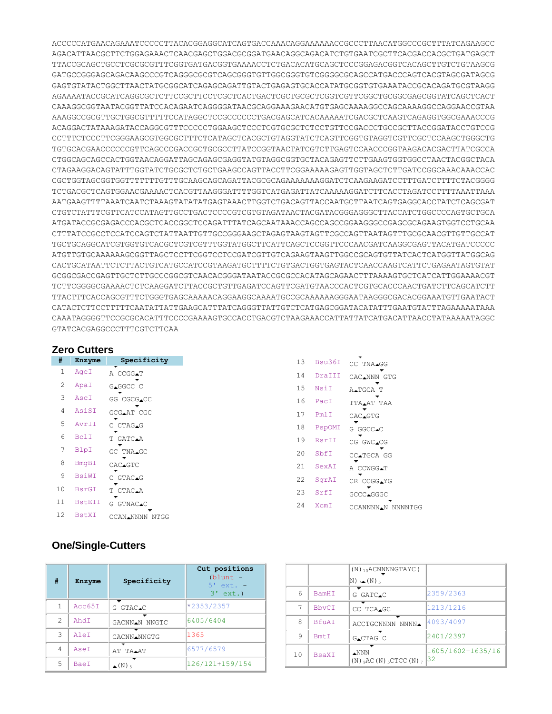ACCCCCATGAACAGAAATCCCCCTTACACGGAGGCATCAGTGACCAAACAGGAAAAAACCGCCCTTAACATGGCCCGCTTTATCAGAAGCC AGACATTAACGCTTCTGGAGAAACTCAACGAGCTGGACGCGGATGAACAGGCAGACATCTGTGAATCGCTTCACGACCACGCTGATGAGCT TTACCGCAGCTGCCTCGCGCGTTTCGGTGATGACGGTGAAAACCTCTGACACATGCAGCTCCCGGAGACGGTCACAGCTTGTCTGTAAGCG GATGCCGGGAGCAGACAAGCCCGTCAGGGCGCGTCAGCGGGTGTTGGCGGGTGTCGGGGCGCAGCCATGACCCAGTCACGTAGCGATAGCG GAGTGTATACTGGCTTAACTATGCGGCATCAGAGCAGATTGTACTGAGAGTGCACCATATGCGGTGTGAAATACCGCACAGATGCGTAAGG AGAAAATACCGCATCAGGCGCTCTTCCGCTTCCTCGCTCACTGACTCGCTGCGCTCGGTCGTTCGGCTGCGGCGAGCGGTATCAGCTCACT CAAAGGCGGTAATACGGTTATCCACAGAATCAGGGGATAACGCAGGAAAGAACATGTGAGCAAAAGGCCAGCAAAAGGCCAGGAACCGTAA AAAGGCCGCGTTGCTGGCGTTTTTCCATAGGCTCCGCCCCCCTGACGAGCATCACAAAAATCGACGCTCAAGTCAGAGGTGGCGAAACCCG ACAGGACTATAAAGATACCAGGCGTTTCCCCCTGGAAGCTCCCTCGTGCGCTCTCCTGTTCCGACCCTGCCGCTTACCGGATACCTGTCCG CCTTTCTCCCTTCGGGAAGCGTGGCGCTTTCTCATAGCTCACGCTGTAGGTATCTCAGTTCGGTGTAGGTCGTTCGCTCCAAGCTGGGCTG TGTGCACGAACCCCCCGTTCAGCCCGACCGCTGCGCCTTATCCGGTAACTATCGTCTTGAGTCCAACCCGGTAAGACACGACTTATCGCCA CTGGCAGCAGCCACTGGTAACAGGATTAGCAGAGCGAGGTATGTAGGCGGTGCTACAGAGTTCTTGAAGTGGTGGCCTAACTACGGCTACA CTAGAAGGACAGTATTTGGTATCTGCGCTCTGCTGAAGCCAGTTACCTTCGGAAAAAGAGTTGGTAGCTCTTGATCCGGCAAACAAACCAC CGCTGGTAGCGGTGGTTTTTTTGTTTGCAAGCAGCAGATTACGCGCAGAAAAAAAGGATCTCAAGAAGATCCTTTGATCTTTTCTACGGGG TCTGACGCTCAGTGGAACGAAAACTCACGTTAAGGGATTTTGGTCATGAGATTATCAAAAAGGATCTTCACCTAGATCCTTTTAAATTAAA AATGAAGTTTTAAATCAATCTAAAGTATATATGAGTAAACTTGGTCTGACAGTTACCAATGCTTAATCAGTGAGGCACCTATCTCAGCGAT CTGTCTATTTCGTTCATCCATAGTTGCCTGACTCCCCGTCGTGTAGATAACTACGATACGGGAGGGCTTACCATCTGGCCCCAGTGCTGCA ATGATACCGCGAGACCCACGCTCACCGGCTCCAGATTTATCAGCAATAAACCAGCCAGCCGGAAGGGCCGAGCGCAGAAGTGGTCCTGCAA CTTTATCCGCCTCCATCCAGTCTATTAATTGTTGCCGGGAAGCTAGAGTAAGTAGTTCGCCAGTTAATAGTTTGCGCAACGTTGTTGCCAT TGCTGCAGGCATCGTGGTGTCACGCTCGTCGTTTGGTATGGCTTCATTCAGCTCCGGTTCCCAACGATCAAGGCGAGTTACATGATCCCCC ATGTTGTGCAAAAAAGCGGTTAGCTCCTTCGGTCCTCCGATCGTTGTCAGAAGTAAGTTGGCCGCAGTGTTATCACTCATGGTTATGGCAG CACTGCATAATTCTCTTACTGTCATGCCATCCGTAAGATGCTTTTCTGTGACTGGTGAGTACTCAACCAAGTCATTCTGAGAATAGTGTAT GCGGCGACCGAGTTGCTCTTGCCCGGCGTCAACACGGGATAATACCGCGCCACATAGCAGAACTTTAAAAGTGCTCATCATTGGAAAACGT TCTTCGGGGCGAAAACTCTCAAGGATCTTACCGCTGTTGAGATCCAGTTCGATGTAACCCACTCGTGCACCCAACTGATCTTCAGCATCTT TTACTTTCACCAGCGTTTCTGGGTGAGCAAAAACAGGAAGGCAAAATGCCGCAAAAAAGGGAATAAGGGCGACACGGAAATGTTGAATACT CATACTCTTCCTTTTTCAATATTATTGAAGCATTTATCAGGGTTATTGTCTCATGAGCGGATACATATTTGAATGTATTTAGAAAAATAAA CAAATAGGGGTTCCGCGCACATTTCCCCGAAAAGTGCCACCTGACGTCTAAGAAACCATTATTATCATGACATTAACCTATAAAAATAGGC GTATCACGAGGCCCTTTCGTCTTCAA

## **Zero Cutters**

| #              | Enzyme        | Specificity    |  |
|----------------|---------------|----------------|--|
| 1              | AgeI          | A CCGG∡T       |  |
| 2              | ApaI          | GAGGCC C       |  |
| 3              | AscI          | GG CGCG.CC     |  |
| 4              | AsiSI         | GCG▲AT CGC     |  |
| 5              | AvrTT         | C CTAG.G       |  |
| 6              | <b>BclI</b>   | T GATC.A       |  |
| 7              | BlpI          | GC TNA∡GC      |  |
| 8              | <b>BmqBI</b>  | CAC∡GTC        |  |
| 9              | BsiWI         | C GTAC.G       |  |
| 1 <sub>0</sub> | <b>BsrGI</b>  | T GTAC.A       |  |
| 11             | <b>BstEII</b> | G GTNAC∡C      |  |
| 12             | <b>BstXI</b>  | CCAN.NNNN NTGG |  |

| 13  | Bsu36T | CC TNA.GG                  |
|-----|--------|----------------------------|
| 14  | DraIII | CAC.NNN GTG                |
| 15  | NsiT   | A∡TGCA T                   |
| 16  | PacI   | TTA.AT TAA                 |
| 17  | PmlI   | CAC▲GTG                    |
| 18  | PspOMI | G GGCC <b>⊥</b> C          |
| 19  | RsrII  | CG GWC.CG                  |
| 20  | SbfI   | CC▲TGCA GG                 |
| 2.1 | SexAT  | A CCWGG.T                  |
| 22  | SqrAI  | CR CCGG.YG                 |
| 2.3 | SrfI   | GCCC.GGGC                  |
| 24  | XcmT   | CCANNNN <b>.</b> N NNNNTGG |

## **One/Single-Cutters**

| #             | Enzyme      | Specificity           | Cut positions<br>$(blunt -$<br>$5'$ ext. $-$<br>$3'$ ext.) |
|---------------|-------------|-----------------------|------------------------------------------------------------|
| 1             | Acc65T      | G GTAC.C              | *2353/2357                                                 |
| $\mathcal{P}$ | AhdT        | GACNNAN NNGTC         | 6405/6404                                                  |
| 3             | AleT        | CACNN.NNGTG           | 1365                                                       |
| 4             | AseT        | AT TA.AT              | 6577/6579                                                  |
| 5             | <b>BaeT</b> | $\triangle$ (N) $\le$ | 126/121+159/154                                            |

|    |              | $(N)$ <sub>10</sub> ACNNNNGTAYC(                                |                         |
|----|--------------|-----------------------------------------------------------------|-------------------------|
|    |              | $\mathbb{N}$ ) 74 $(\mathbb{N})$ 5                              |                         |
| 6  | <b>BamHT</b> | G GATC.C                                                        | 2359/2363               |
|    | <b>BbyCT</b> | CC TCA.GC                                                       | 1213/1216               |
| 8  | <b>BfuAT</b> | ACCTGCNNNN NNNN.                                                | 4093/4097               |
| 9  | Bmt.T        | GACTAG C                                                        | 2401/2397               |
| 10 | <b>BsaXT</b> | $\triangle NNN$<br>$(N)$ ${}_{9}AC(N)$ ${}_{5}CTCC(N)$ ${}_{7}$ | 1605/1602+1635/16<br>32 |